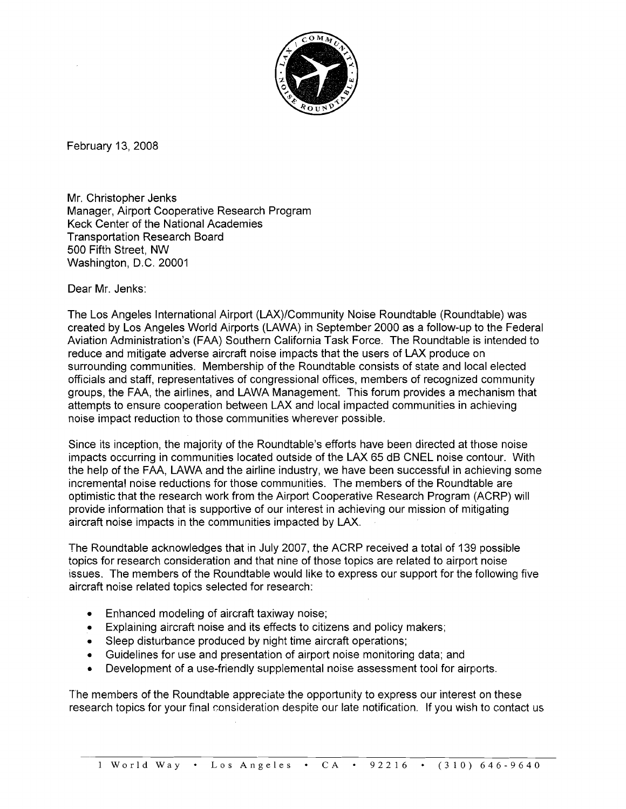

February 13,2008

Mr. Christopher Jenks Manager, Airport Cooperative Research Program Keck Center of the National Academies Transportation Research Board 500 Fifth Street, NW Washington, D.C. 20001

Dear Mr. Jenks:

The Los Angeles International Airport (LAX)/Community Noise Roundtable (Roundtable) was created by Los Angeles World Airports (LAWA) in September 2000 as a follow-up to the Federal Aviation Administration's (FAA) Southern California Task Force. The Roundtable is intended to reduce and mitigate adverse aircraft noise impacts that the users of LAX produce on surrounding communities. Membership of the Roundtable consists of state and local elected officials and staff, representatives of congressional offices, members of recognized community groups, the FAA, the airlines, and LAWA Management. This forum provides a mechanism that attempts to ensure cooperation between LAX and local impacted communities in achieving noise impact reduction to those communities wherever possible.

Since its inception, the majority of the Roundtable's efforts have been directed at those noise impacts occurring in communities located outside of the LAX 65 dB CNEL noise contour. With the help of the FAA, LAWA and the airline industry, we have been successful in achieving some incremental noise reductions for those communities. The members of the Roundtable are optimistic that the research work from the Airport Cooperative Research Program (ACRP) will provide information that is supportive of our interest in achieving our mission of mitigating aircraft noise impacts in the communities impacted by LAX.

The Roundtable acknowledges that in July 2007, the ACRP received a total of 139 possible topics for research consideration and that nine of those topics are related to airport noise issues. The members of the Roundtable would like to express our support for the following five aircraft noise related topics selected for research:

- Enhanced modeling of aircraft taxiway noise;  $\bullet$
- Explaining aircraft noise and its effects to citizens and policy makers;  $\bullet$
- Sleep disturbance produced by night time aircraft operations;  $\bullet$
- Guidelines for use and presentation of airport noise monitoring data; and  $\bullet$
- Development of a use-friendly supplemental noise assessment tool for airports.  $\bullet$

The members of the Roundtable appreciate the opportunity to express our interest on these research topics for your final consideration despite our late notification. If you wish to contact us